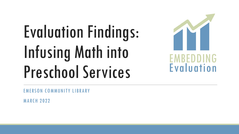# Evaluation Findings: Infusing Math into Preschool Services



EMERSON COMMUNITY LIBRARY

MARCH 2022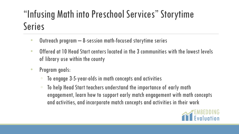## "Infusing Math into Preschool Services" Storytime Series

- Outreach program 8-session math-focused storytime series
- Offered at 10 Head Start centers located in the 3 communities with the lowest levels of library use within the county
- Program goals:
	- To engage 3-5-year-olds in math concepts and activities
	- To help Head Start teachers understand the importance of early math engagement, learn how to support early match engagement with math concepts and activities, and incorporate match concepts and activities in their work

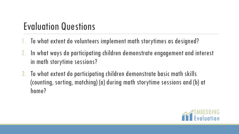## Evaluation Questions

- 1. To what extent do volunteers implement math storytimes as designed?
- 2. In what ways do participating children demonstrate engagement and interest in math storytime sessions?
- 3. To what extent do participating children demonstrate basic math skills (counting, sorting, matching) (a) during math storytime sessions and (b) at home?

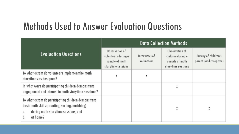#### Methods Used to Answer Evaluation Questions

| <b>Evaluation Questions</b>                                                                                                                                            | <b>Data Collection Methods</b>                                                |                             |                                                                             |                                                |
|------------------------------------------------------------------------------------------------------------------------------------------------------------------------|-------------------------------------------------------------------------------|-----------------------------|-----------------------------------------------------------------------------|------------------------------------------------|
|                                                                                                                                                                        | Observation of<br>volunteers during a<br>sample of math<br>storytime sessions | Interviews of<br>Volunteers | Observation of<br>children during a<br>sample of math<br>storytime sessions | Survey of children's<br>parents and caregivers |
| To what extent do volunteers implement the math<br>storytimes as designed?                                                                                             | χ                                                                             | X                           |                                                                             |                                                |
| In what ways do participating children demonstrate<br>engagement and interest in math storytime sessions?                                                              |                                                                               |                             | χ                                                                           |                                                |
| To what extent do participating children demonstrate<br>basic math skills (counting, sorting, matching)<br>during math storytime sessions, and<br>α.<br>at home?<br>b. |                                                                               |                             | X                                                                           | X                                              |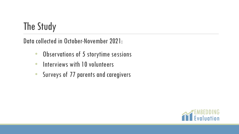## The Study

Data collected in October-November 2021:

- Observations of 5 storytime sessions
- Interviews with 10 volunteers
- Surveys of 77 parents and caregivers

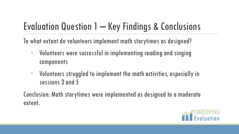## Evaluation Question 1 – Key Findings & Conclusions

To what extent do volunteers implement math storytimes as designed?

- Volunteers were successful in implementing reading and singing components
- Volunteers struggled to implement the math activities, especially in sessions 3 and 5

Conclusion: Math storytimes were implemented as designed to a moderate extent.

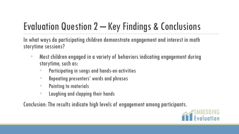# Evaluation Question 2 – Key Findings & Conclusions

In what ways do participating children demonstrate engagement and interest in math storytime sessions?

- Most children engaged in a variety of behaviors indicating engagement during storytime, such as:
	- Participating in songs and hands-on activities
	- Repeating presenters' words and phrases
	- Pointing to materials
	- Laughing and clapping their hands

Conclusion: The results indicate high levels of engagement among participants.

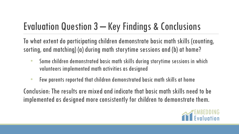# Evaluation Question 3 – Key Findings & Conclusions

To what extent do participating children demonstrate basic math skills (counting, sorting, and matching) (a) during math storytime sessions and (b) at home?

- Some children demonstrated basic math skills during storytime sessions in which volunteers implemented math activities as designed
- Few parents reported that children demonstrated basic math skills at home

Conclusion: The results are mixed and indicate that basic math skills need to be implemented as designed more consistently for children to demonstrate them.

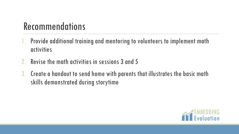## Recommendations

- 1. Provide additional training and mentoring to volunteers to implement math activities
- 2. Revise the math activities in sessions 3 and 5
- 3. Create a handout to send home with parents that illustrates the basic math skills demonstrated during storytime

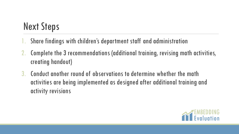## Next Steps

- Share findings with children's department staff and administration
- 2. Complete the 3 recommendations (additional training, revising math activities, creating handout)
- 3. Conduct another round of observations to determine whether the math activities are being implemented as designed after additional training and activity revisions